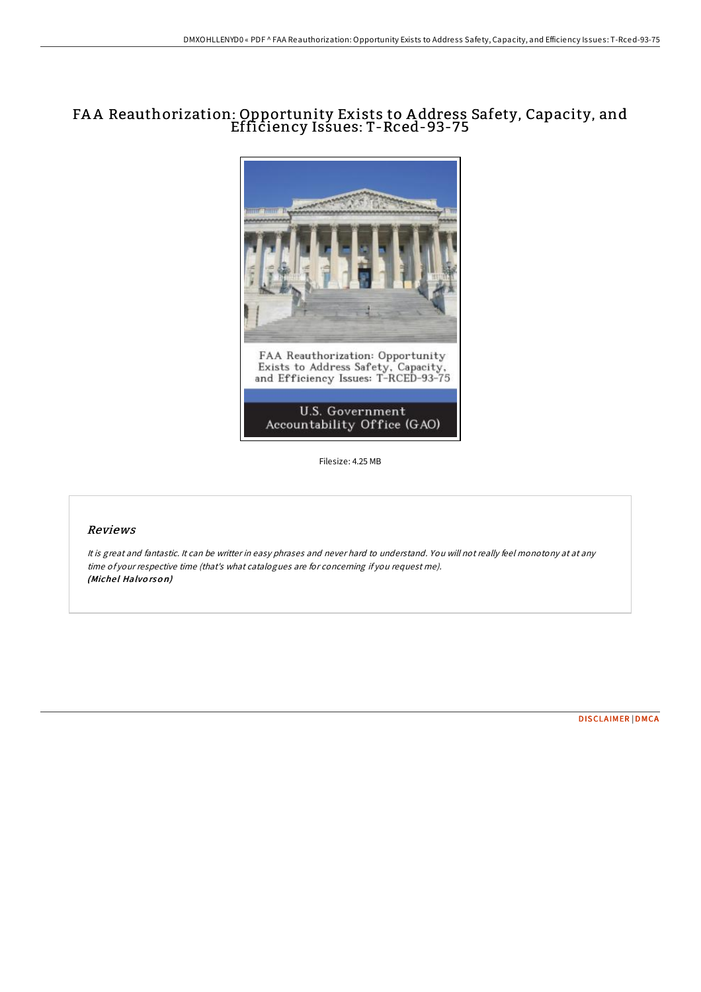# FA A Reauthorization: Opportunity Exists to A ddress Safety, Capacity, and Efficiency Issues: T-Rced-93-75



Filesize: 4.25 MB

### Reviews

It is great and fantastic. It can be writter in easy phrases and never hard to understand. You will not really feel monotony at at any time of your respective time (that's what catalogues are for concerning if you request me). (Michel Halvorson)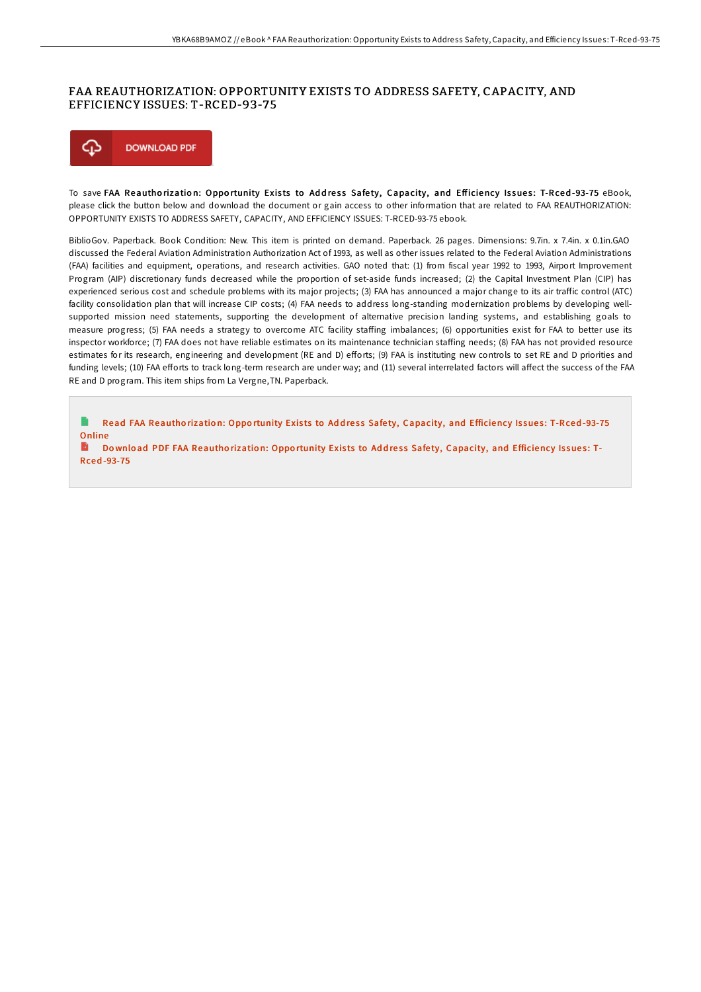## FAA REAUTHORIZATION: OPPORTUNITY EXISTS TO ADDRESS SAFETY, CAPACITY, AND EFFICIENCY ISSUES: T-RCED-93-75



To save FAA Reauthorization: Opportunity Exists to Address Safety, Capacity, and Efficiency Issues: T-Rced-93-75 eBook, please click the button below and download the document or gain access to other information that are related to FAA REAUTHORIZATION: OPPORTUNITY EXISTS TO ADDRESS SAFETY, CAPACITY, AND EFFICIENCY ISSUES: T-RCED-93-75 ebook.

BiblioGov. Paperback. Book Condition: New. This item is printed on demand. Paperback. 26 pages. Dimensions: 9.7in. x 7.4in. x 0.1in.GAO discussed the Federal Aviation Administration Authorization Act of 1993, as well as other issues related to the Federal Aviation Administrations (FAA) facilities and equipment, operations, and research activities. GAO noted that: (1) from fiscal year 1992 to 1993, Airport Improvement Program (AIP) discretionary funds decreased while the proportion of set-aside funds increased; (2) the Capital Investment Plan (CIP) has experienced serious cost and schedule problems with its major projects; (3) FAA has announced a major change to its air traffic control (ATC) facility consolidation plan that will increase CIP costs; (4) FAA needs to address long-standing modernization problems by developing wellsupported mission need statements, supporting the development of alternative precision landing systems, and establishing goals to measure progress; (5) FAA needs a strategy to overcome ATC facility staffing imbalances; (6) opportunities exist for FAA to better use its inspector workforce; (7) FAA does not have reliable estimates on its maintenance technician staffing needs; (8) FAA has not provided resource estimates for its research, engineering and development (RE and D) efforts; (9) FAA is instituting new controls to set RE and D priorities and funding levels; (10) FAA efforts to track long-term research are under way; and (11) several interrelated factors will affect the success of the FAA RE and D program. This item ships from La Vergne,TN. Paperback.

B Read FAA Reauthorization: Opportunity Exists to Address Safety, Capacity, and [Efficiency](http://almighty24.tech/faa-reauthorization-opportunity-exists-to-addres.html) Issues: T-Rced-93-75 **Online** 

B Do wnload PDF FAA Reauthorization: Opportunity Exists to Address Safety, Capacity, and [Efficiency](http://almighty24.tech/faa-reauthorization-opportunity-exists-to-addres.html) Issues: T-Rced -93-75